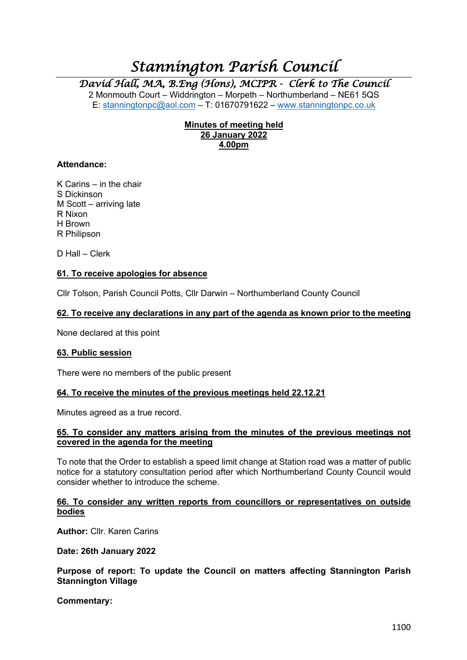# *Stannington Parish Council*

*David Hall, MA, B.Eng (Hons), MCIPR - Clerk to The Council* 

2 Monmouth Court – Widdrington – Morpeth – Northumberland – NE61 5QS E: stanningtonpc@aol.com – T: 01670791622 – www.stanningtonpc.co.uk

# **Minutes of meeting held 26 January 2022 4.00pm**

#### **Attendance:**

K Carins – in the chair S Dickinson M Scott – arriving late R Nixon H Brown R Philipson

D Hall – Clerk

# **61. To receive apologies for absence**

Cllr Tolson, Parish Council Potts, Cllr Darwin – Northumberland County Council

#### **62. To receive any declarations in any part of the agenda as known prior to the meeting**

None declared at this point

#### **63. Public session**

There were no members of the public present

#### **64. To receive the minutes of the previous meetings held 22.12.21**

Minutes agreed as a true record.

#### **65. To consider any matters arising from the minutes of the previous meetings not covered in the agenda for the meeting**

To note that the Order to establish a speed limit change at Station road was a matter of public notice for a statutory consultation period after which Northumberland County Council would consider whether to introduce the scheme.

#### **66. To consider any written reports from councillors or representatives on outside bodies**

**Author:** Cllr. Karen Carins

**Date: 26th January 2022**

**Purpose of report: To update the Council on matters affecting Stannington Parish Stannington Village**

**Commentary:**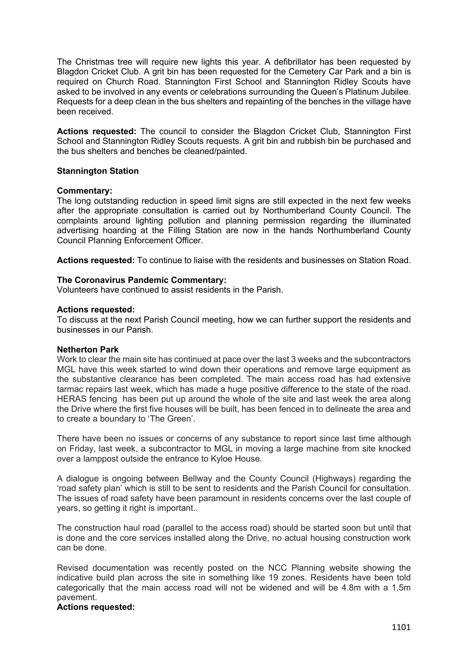The Christmas tree will require new lights this year. A defibrillator has been requested by Blagdon Cricket Club. A grit bin has been requested for the Cemetery Car Park and a bin is required on Church Road. Stannington First School and Stannington Ridley Scouts have asked to be involved in any events or celebrations surrounding the Queen's Platinum Jubilee. Requests for a deep clean in the bus shelters and repainting of the benches in the village have been received.

**Actions requested:** The council to consider the Blagdon Cricket Club, Stannington First School and Stannington Ridley Scouts requests. A grit bin and rubbish bin be purchased and the bus shelters and benches be cleaned/painted.

#### **Stannington Station**

#### **Commentary:**

The long outstanding reduction in speed limit signs are still expected in the next few weeks after the appropriate consultation is carried out by Northumberland County Council. The complaints around lighting pollution and planning permission regarding the illuminated advertising hoarding at the Filling Station are now in the hands Northumberland County Council Planning Enforcement Officer.

**Actions requested:** To continue to liaise with the residents and businesses on Station Road.

#### **The Coronavirus Pandemic Commentary:**

Volunteers have continued to assist residents in the Parish.

#### **Actions requested:**

To discuss at the next Parish Council meeting, how we can further support the residents and businesses in our Parish.

#### **Netherton Park**

Work to clear the main site has continued at pace over the last 3 weeks and the subcontractors MGL have this week started to wind down their operations and remove large equipment as the substantive clearance has been completed. The main access road has had extensive tarmac repairs last week, which has made a huge positive difference to the state of the road. HERAS fencing has been put up around the whole of the site and last week the area along the Drive where the first five houses will be built, has been fenced in to delineate the area and to create a boundary to 'The Green'.

There have been no issues or concerns of any substance to report since last time although on Friday, last week, a subcontractor to MGL in moving a large machine from site knocked over a lamppost outside the entrance to Kyloe House.

A dialogue is ongoing between Bellway and the County Council (Highways) regarding the 'road safety plan' which is still to be sent to residents and the Parish Council for consultation. The issues of road safety have been paramount in residents concerns over the last couple of years, so getting it right is important..

The construction haul road (parallel to the access road) should be started soon but until that is done and the core services installed along the Drive, no actual housing construction work can be done.

Revised documentation was recently posted on the NCC Planning website showing the indicative build plan across the site in something like 19 zones. Residents have been told categorically that the main access road will not be widened and will be 4.8m with a 1.5m pavement.

# **Actions requested:**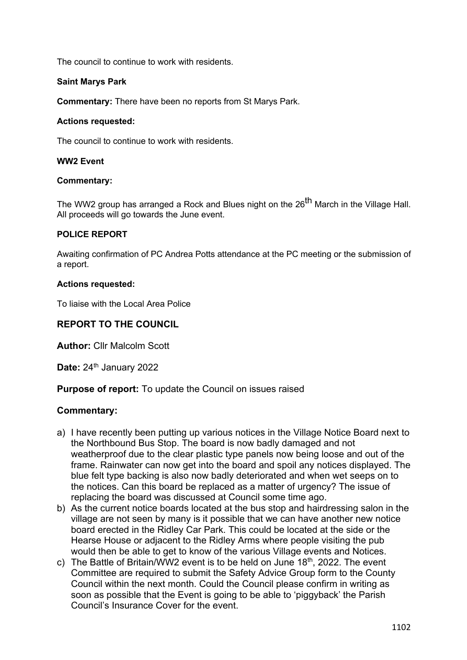The council to continue to work with residents.

# **Saint Marys Park**

**Commentary:** There have been no reports from St Marys Park.

# **Actions requested:**

The council to continue to work with residents.

# **WW2 Event**

# **Commentary:**

The WW2 group has arranged a Rock and Blues night on the 26<sup>th</sup> March in the Village Hall. All proceeds will go towards the June event.

# **POLICE REPORT**

Awaiting confirmation of PC Andrea Potts attendance at the PC meeting or the submission of a report.

# **Actions requested:**

To liaise with the Local Area Police

# **REPORT TO THE COUNCIL**

**Author:** Cllr Malcolm Scott

**Date: 24th January 2022** 

**Purpose of report:** To update the Council on issues raised

# **Commentary:**

- a) I have recently been putting up various notices in the Village Notice Board next to the Northbound Bus Stop. The board is now badly damaged and not weatherproof due to the clear plastic type panels now being loose and out of the frame. Rainwater can now get into the board and spoil any notices displayed. The blue felt type backing is also now badly deteriorated and when wet seeps on to the notices. Can this board be replaced as a matter of urgency? The issue of replacing the board was discussed at Council some time ago.
- b) As the current notice boards located at the bus stop and hairdressing salon in the village are not seen by many is it possible that we can have another new notice board erected in the Ridley Car Park. This could be located at the side or the Hearse House or adjacent to the Ridley Arms where people visiting the pub would then be able to get to know of the various Village events and Notices.
- c) The Battle of Britain/WW2 event is to be held on June  $18<sup>th</sup>$ , 2022. The event Committee are required to submit the Safety Advice Group form to the County Council within the next month. Could the Council please confirm in writing as soon as possible that the Event is going to be able to 'piggyback' the Parish Council's Insurance Cover for the event.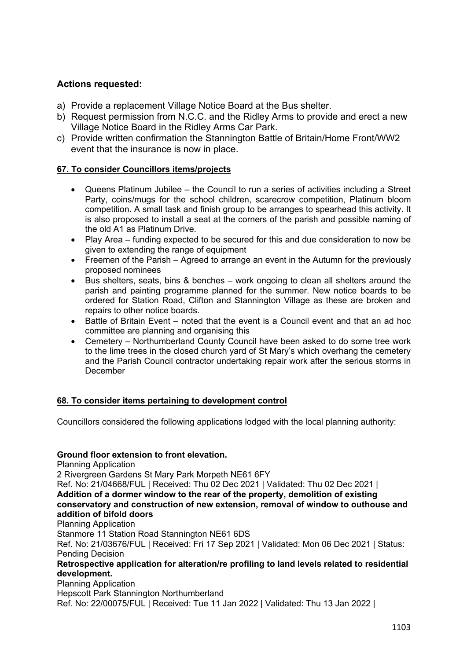# **Actions requested:**

- a) Provide a replacement Village Notice Board at the Bus shelter.
- b) Request permission from N.C.C. and the Ridley Arms to provide and erect a new Village Notice Board in the Ridley Arms Car Park.
- c) Provide written confirmation the Stannington Battle of Britain/Home Front/WW2 event that the insurance is now in place.

# **67. To consider Councillors items/projects**

- Queens Platinum Jubilee the Council to run a series of activities including a Street Party, coins/mugs for the school children, scarecrow competition, Platinum bloom competition. A small task and finish group to be arranges to spearhead this activity. It is also proposed to install a seat at the corners of the parish and possible naming of the old A1 as Platinum Drive.
- Play Area funding expected to be secured for this and due consideration to now be given to extending the range of equipment
- Freemen of the Parish Agreed to arrange an event in the Autumn for the previously proposed nominees
- Bus shelters, seats, bins & benches work ongoing to clean all shelters around the parish and painting programme planned for the summer. New notice boards to be ordered for Station Road, Clifton and Stannington Village as these are broken and repairs to other notice boards.
- Battle of Britain Event noted that the event is a Council event and that an ad hoc committee are planning and organising this
- Cemetery Northumberland County Council have been asked to do some tree work to the lime trees in the closed church yard of St Mary's which overhang the cemetery and the Parish Council contractor undertaking repair work after the serious storms in December

# **68. To consider items pertaining to development control**

Councillors considered the following applications lodged with the local planning authority:

# **Ground floor extension to front elevation.**

Planning Application 2 Rivergreen Gardens St Mary Park Morpeth NE61 6FY Ref. No: 21/04668/FUL | Received: Thu 02 Dec 2021 | Validated: Thu 02 Dec 2021 | **Addition of a dormer window to the rear of the property, demolition of existing conservatory and construction of new extension, removal of window to outhouse and addition of bifold doors** Planning Application Stanmore 11 Station Road Stannington NE61 6DS Ref. No: 21/03676/FUL | Received: Fri 17 Sep 2021 | Validated: Mon 06 Dec 2021 | Status: Pending Decision

**Retrospective application for alteration/re profiling to land levels related to residential development.**

Planning Application

Hepscott Park Stannington Northumberland

Ref. No: 22/00075/FUL | Received: Tue 11 Jan 2022 | Validated: Thu 13 Jan 2022 |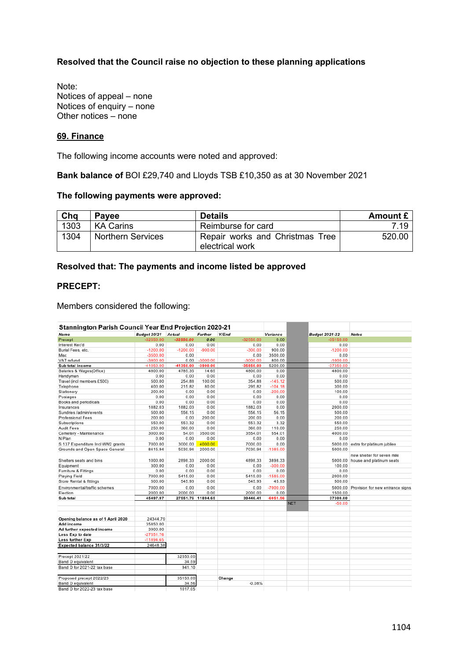# **Resolved that the Council raise no objection to these planning applications**

Note: Notices of appeal – none Notices of enquiry – none Other notices – none

#### **69. Finance**

The following income accounts were noted and approved:

**Bank balance of** BOI £29,740 and Lloyds TSB £10,350 as at 30 November 2021

#### **The following payments were approved:**

| Cha  | <b>Pavee</b>             | Details                                            | Amount £ |
|------|--------------------------|----------------------------------------------------|----------|
| 1303 | <b>KA Carins</b>         | Reimburse for card                                 | 7 19     |
| 1304 | <b>Northern Services</b> | Repair works and Christmas Tree<br>electrical work | 520.00   |

#### **Resolved that: The payments and income listed be approved**

#### **PRECEPT:**

Members considered the following:

| Stannington Parish Council Year End Projection 2020-21 |                     |             |                   |             |            |                        |                                  |
|--------------------------------------------------------|---------------------|-------------|-------------------|-------------|------------|------------------------|----------------------------------|
| Name                                                   | Budget 20/21 Actual |             | Further           | Y/End       | Variance   | <b>Budget 2021-22</b>  | <b>Notes</b>                     |
| Precept                                                | $-32550.00$         | $-32550.00$ | 0.00              | $-32550.00$ | 0.00       | $-35150.00$            |                                  |
| Interest Rec'd                                         | 0.00                | 0.00        | 0.00              | 0.00        | 0.00       | 0.00                   |                                  |
| Burial Fees, etc.                                      | $-1200.00$          | $-1200.00$  | $-900.00$         | $-300.00$   | 900.00     | $-1200.00$             |                                  |
| Misc                                                   | $-3500.00$          | 0.00        |                   | 0.00        | 3500.00    | 0.00                   |                                  |
| VAT refund                                             | $-3800.00$          | 0.00        | $-3000.00$        | $-3000.00$  | 800.00     | $-1000.00$             |                                  |
| Sub total income                                       | 41050.00            | -41350.00   | -3900.00          | -35850.00   | 5200.00    | -37350.00              |                                  |
| Salaries & Wages(Office)                               | 4800.00             | 4785.35     | 14.65             | 4800.00     | 0.00       | 4800.00                |                                  |
| Handyman                                               | 0.00                | 0.00        | 0.00              | 0.00        | 0.00       | 0.00                   |                                  |
| Travel (incl members £500)                             | 500.00              | 254.88      | 100.00            | 354.88      | $-145.12$  | 500.00                 |                                  |
| Telephone                                              | 400.00              | 215.82      | 80.00             | 295.82      | $-104.18$  | 300.00                 |                                  |
| Stationery                                             | 200.00              | 0.00        | 0.00              | 0.00        | $-200.00$  | 100.00                 |                                  |
| Postages                                               | 0.00                | 0.00        | 0.00              | 0.00        | 0.00       | 0.00                   |                                  |
| Books and periodicals                                  | 0.00                | 0.00        | 0.00              | 0.00        | 0.00       | 0.00                   |                                  |
| Insurances                                             | 1882.03             | 1882.03     | 0.00              | 1882.03     | 0.00       | 2000.00                |                                  |
| Sundries /admin/events                                 | 500.00              | 556.15      | 0.00              | 556.15      | 56.15      | 500.00                 |                                  |
| Professional Fees                                      | 200.00              | 0.00        | 200.00            | 200.00      | 0.00       | 200.00                 |                                  |
| Subscriptions                                          | 550.00              | 553.32      | 0.00              | 553.32      | 3.32       | 550.00                 |                                  |
| Audit Fees                                             | 250.00              | 360.00      | 0.00              | 360.00      | 110.00     | 250.00                 |                                  |
| Cemetery - Maintenance                                 | 3000.00             | 54.01       | 3500.00           | 3554.01     | 554.01     | 4000.00                |                                  |
| N Plan                                                 | 0.00                | 0.00        | 0.00              | 0.00        | 0.00       | 0.00                   |                                  |
| S.137 Expenditure Incl WW2 grants                      | 7000.00             | 3000.00     | 4000.00           | 7000.00     | 0.00       | 5000.00                | extra for platinum jubilee       |
| Grounds and Open Space General                         | 8415.94             | 5030.94     | 2000.00           | 7030.94     | $-1385.00$ | 5000.00                |                                  |
|                                                        |                     |             |                   |             |            |                        | new shelter for seven mile       |
| Shelters seats and bins                                | 1000.00             | 2898.33     | 2000.00           | 4898.33     | 3898.33    | 5000.00                | house and platinum seats         |
| Equipment                                              | 300.00              | 0.00        | 0.00              | 0.00        | $-300.00$  | 100.00                 |                                  |
| Furniture & Fittings                                   | 0.00                | 0.00        | 0.00              | 0.00        | 0.00       | 0.00                   |                                  |
| Playing Field                                          | 7000.00             | 5415.00     | 0.00              | 5415.00     | $-1585.00$ | 2000.00                |                                  |
| Store Rental & fittings                                | 500.00              | 545.93      | 0.00              | 545.93      | 45.93      | 500.00                 |                                  |
| Environmental/traffic schemes                          | 7000.00             | 0.00        | 0.00              | 0.00        | $-7000.00$ | 5000.00                | Provision for new entrance signs |
| Election                                               | 2000.00             | 2000.00     | 0.00              | 2000.00     | 0.00       | 1500.00                |                                  |
| Sub total                                              | 45497.97            |             | 27551.76 11894.65 | 39446.41    | $-6051.56$ | 37300.00               |                                  |
|                                                        |                     |             |                   |             |            | <b>NET</b><br>$-50.00$ |                                  |
|                                                        |                     |             |                   |             |            |                        |                                  |
|                                                        |                     |             |                   |             |            |                        |                                  |
| Opening balance as of 1 April 2020                     | 24344.79            |             |                   |             |            |                        |                                  |
| Add income                                             | 35850.00            |             |                   |             |            |                        |                                  |
| Ad further expected income                             | 3900.00             |             |                   |             |            |                        |                                  |
| Less Exp to date                                       | $-27551.76$         |             |                   |             |            |                        |                                  |
| Less further Exp                                       | $-11894.65$         |             |                   |             |            |                        |                                  |
| Expected balance 31/3/22                               | 24648.38            |             |                   |             |            |                        |                                  |
| Precept 2021/22                                        |                     | 32550.00    |                   |             |            |                        |                                  |
| Band D equivalent                                      |                     | 34.59       |                   |             |            |                        |                                  |
| Band D for 2021-22 tax base                            |                     | 941.10      |                   |             |            |                        |                                  |
|                                                        |                     |             |                   |             |            |                        |                                  |
| Proposed precept 2022/23                               |                     | 35150.00    |                   | Change      |            |                        |                                  |
| Band D equivalent                                      |                     | 34.56       |                   | $-0.08%$    |            |                        |                                  |
| Band D for 2022-23 tax base                            |                     | 1017.05     |                   |             |            |                        |                                  |
|                                                        |                     |             |                   |             |            |                        |                                  |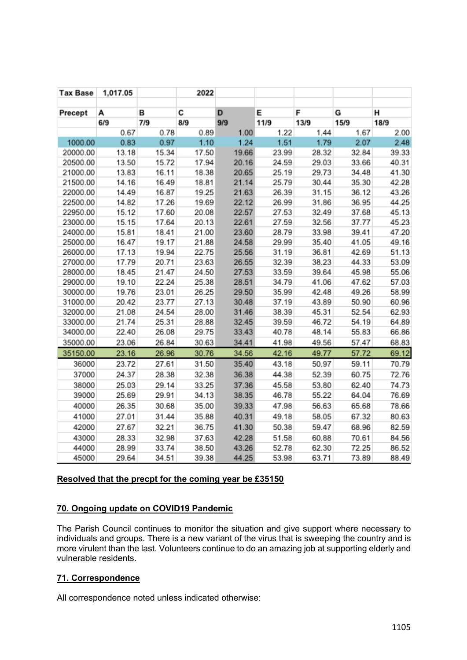| <b>Tax Base</b> | 1,017.05 |       | 2022  |       |       |       |       |       |
|-----------------|----------|-------|-------|-------|-------|-------|-------|-------|
| Precept         | А        | в     | C     | D     | E     | F     | G     | н     |
|                 | 6/9      | 7/9   | 8/9   | 9/9   | 11/9  | 13/9  | 15/9  | 18/9  |
|                 | 0.67     | 0.78  | 0.89  | 1.00  | 1.22  | 1.44  | 1.67  | 2.00  |
| 1000.00         | 0.83     | 0.97  | 1.10  | 1.24  | 1.51  | 1.79  | 2.07  | 2.48  |
| 20000.00        | 13.18    | 15.34 | 17.50 | 19.66 | 23.99 | 28.32 | 32.84 | 39.33 |
| 20500.00        | 13.50    | 15.72 | 17.94 | 20.16 | 24.59 | 29.03 | 33.66 | 40.31 |
| 21000.00        | 13.83    | 16.11 | 18.38 | 20.65 | 25.19 | 29.73 | 34.48 | 41.30 |
| 21500.00        | 14.16    | 16.49 | 18.81 | 21.14 | 25.79 | 30.44 | 35.30 | 42.28 |
| 22000.00        | 14.49    | 16.87 | 19.25 | 21.63 | 26.39 | 31.15 | 36.12 | 43.26 |
| 22500.00        | 14.82    | 17.26 | 19.69 | 22.12 | 26.99 | 31.86 | 36.95 | 44.25 |
| 22950.00        | 15.12    | 17.60 | 20.08 | 22.57 | 27.53 | 32.49 | 37.68 | 45.13 |
| 23000.00        | 15.15    | 17.64 | 20.13 | 22.61 | 27.59 | 32.56 | 37.77 | 45.23 |
| 24000.00        | 15.81    | 18.41 | 21.00 | 23.60 | 28.79 | 33.98 | 39.41 | 47.20 |
| 25000.00        | 16.47    | 19.17 | 21.88 | 24.58 | 29.99 | 35.40 | 41.05 | 49.16 |
| 26000.00        | 17.13    | 19.94 | 22.75 | 25.56 | 31.19 | 36.81 | 42.69 | 51.13 |
| 27000.00        | 17.79    | 20.71 | 23.63 | 26.55 | 32.39 | 38.23 | 44.33 | 53.09 |
| 28000.00        | 18.45    | 21.47 | 24.50 | 27.53 | 33.59 | 39.64 | 45.98 | 55.06 |
| 29000.00        | 19.10    | 22.24 | 25.38 | 28.51 | 34.79 | 41.06 | 47.62 | 57.03 |
| 30000.00        | 19.76    | 23.01 | 26.25 | 29.50 | 35.99 | 42.48 | 49.26 | 58.99 |
| 31000.00        | 20.42    | 23.77 | 27.13 | 30.48 | 37.19 | 43.89 | 50.90 | 60.96 |
| 32000.00        | 21.08    | 24.54 | 28.00 | 31.46 | 38.39 | 45.31 | 52.54 | 62.93 |
| 33000.00        | 21.74    | 25.31 | 28.88 | 32.45 | 39.59 | 46.72 | 54.19 | 64.89 |
| 34000.00        | 22.40    | 26.08 | 29.75 | 33.43 | 40.78 | 48.14 | 55.83 | 66.86 |
| 35000.00        | 23.06    | 26.84 | 30.63 | 34.41 | 41.98 | 49.56 | 57.47 | 68.83 |
| 35150.00        | 23.16    | 26.96 | 30.76 | 34.56 | 42.16 | 49.77 | 57.72 | 69.12 |
| 36000           | 23.72    | 27.61 | 31.50 | 35.40 | 43.18 | 50.97 | 59.11 | 70.79 |
| 37000           | 24.37    | 28.38 | 32.38 | 36.38 | 44.38 | 52.39 | 60.75 | 72.76 |
| 38000           | 25.03    | 29.14 | 33.25 | 37.36 | 45.58 | 53.80 | 62.40 | 74.73 |
| 39000           | 25.69    | 29.91 | 34.13 | 38.35 | 46.78 | 55.22 | 64.04 | 76.69 |
| 40000           | 26.35    | 30.68 | 35.00 | 39.33 | 47.98 | 56.63 | 65.68 | 78.66 |
| 41000           | 27.01    | 31.44 | 35.88 | 40.31 | 49.18 | 58.05 | 67.32 | 80.63 |
| 42000           | 27.67    | 32.21 | 36.75 | 41.30 | 50.38 | 59.47 | 68.96 | 82.59 |
| 43000           | 28.33    | 32.98 | 37.63 | 42.28 | 51.58 | 60.88 | 70.61 | 84.56 |
| 44000           | 28.99    | 33.74 | 38.50 | 43.26 | 52.78 | 62.30 | 72.25 | 86.52 |
| 45000           | 29.64    | 34.51 | 39.38 | 44.25 | 53.98 | 63.71 | 73.89 | 88.49 |

# **Resolved that the precpt for the coming year be £35150**

# **70. Ongoing update on COVID19 Pandemic**

The Parish Council continues to monitor the situation and give support where necessary to individuals and groups. There is a new variant of the virus that is sweeping the country and is more virulent than the last. Volunteers continue to do an amazing job at supporting elderly and vulnerable residents.

# **71. Correspondence**

All correspondence noted unless indicated otherwise: